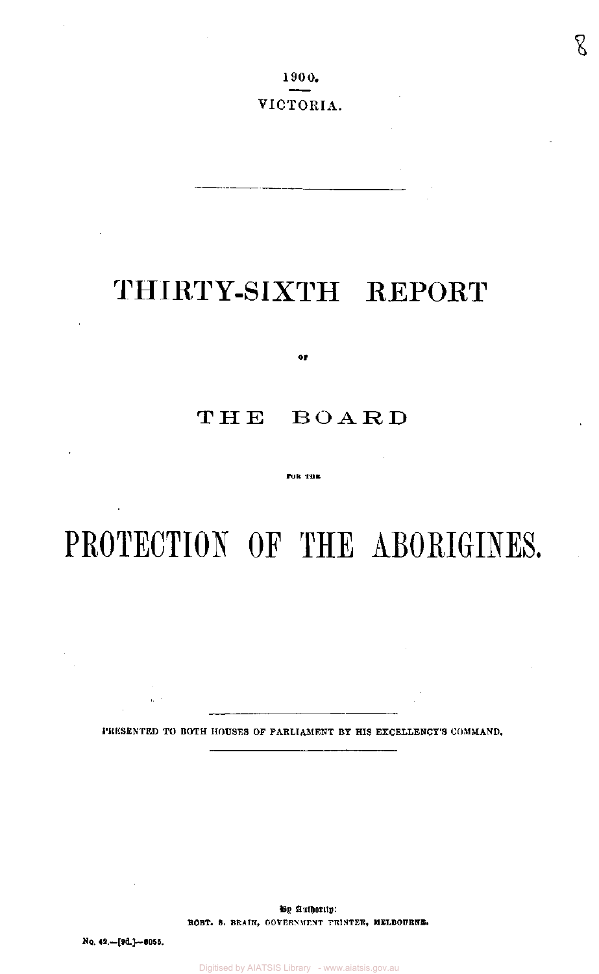g

# THIRTY-SIXTH REPORT

**OF** 

# THE BOARD

FOR THE

# PROTECTION OF THE ABORIGINES.

**PRESENTED TO BOTH HOUSES OF PARLIAMENT BY HIS EXCELLENCY'S COMMAND.** 

By Authority: **ROBT. S. BRAIN, GOVERNMENT PRINTER, MELBOURNE.** 

**No. 42.—[9d]—8055.** 

 $\alpha$  .  $\beta$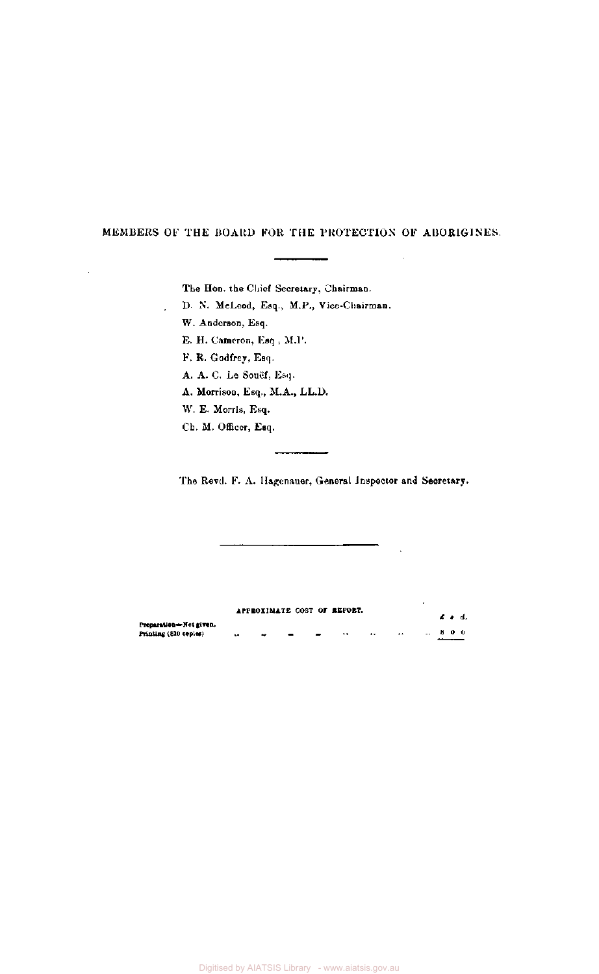## MEMBERS OF THE BOARD FOR THE PROTECTION OF ABORIGINES.

The Hon. the Chief Secretary, Chairman.

D. N. McLeod, Esq., M.P., Vice-Chairman.

W. Anderson, Esq.

l,

J.

E. H. Cameron, Esq , M.P.

F. R. Godfrey, Esq.

A. A. C. Le Souef, Esq.

A. Morrison, Esq., M.A., LL.D.

W. E. Morris, Esq.

Ch. M. Officer, Esq.

The Revd. F. A. Hagenauer, General Inspector and Secretary.

**APPROXIMATE COST OF REPORT.**  *£. s. d.*  **Preparation— Not given. Printing (810 copies) .. ..- - •• •• .• .. 8 0 0**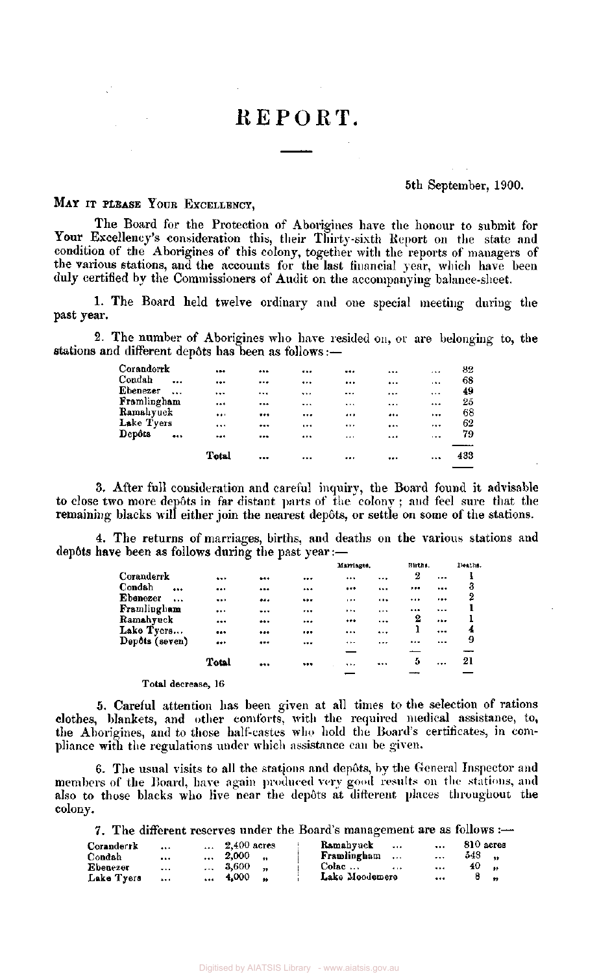# REPORT.

#### 5th September, 1900.

# MAY IT PLEASE YOUR EXCELLENCY,

The Board for the Protection of Aborigines have the honour to submit for Your Excellency's consideration this, their Thirty-sixth Report on the state and condition of the Aborigines of this colony, together with the reports of managers of the various stations, and the accounts for the last financial year, which have been duly certified by the Commissioners of Audit on the accompanying balance-sheet.

1. The Board held twelve ordinary and one special meeting during the past year.

2. The number of Aborigines who have resided on, or are belonging to, the stations and different dep6ts has been as follows:—

|             | Total    | <br>         |          |          |          | 433 |
|-------------|----------|--------------|----------|----------|----------|-----|
| Depôts      | <br>     | <br>         |          |          | $\cdots$ | 79  |
| Lake Tyers  |          | <br>$\cdots$ |          |          |          | 62  |
| Ramahyuck   |          | <br>         |          |          |          | 68  |
| Framlingham |          | <br>         | $\cdots$ |          |          | 25  |
| Ebenezer    | <br>     | <br>         |          |          | $\cdots$ | 49  |
| Condah      | <br>     | <br>         |          | $\cdots$ | $\cdots$ | 68  |
| Coranderrk  | $\cdots$ | <br>         |          |          |          | 82  |

3. After full consideration and careful inquiry, the Board found it advisable to close two more depots in far distant parts of the colony ; and feel sure that the remaining blacks will either join the nearest depôts, or settle on some of the stations.

4. The returns of marriages, births, and deaths on the various stations and dep6ts have been as follows during the past year:—

|                      |          |      | Marriages. |          | Births. |           | Deaths. |
|----------------------|----------|------|------------|----------|---------|-----------|---------|
| Coranderrk           |          | <br> |            |          | 2       | $\cdots$  |         |
| Condah<br>$\cdots$   | $\cdots$ | <br> |            | $\cdots$ |         |           | 3       |
| Ebenezer<br>$\cdots$ |          | <br> | $\cdots$   |          |         |           | 2       |
| Framlingham          |          | <br> | $\cdots$   | $\cdots$ |         |           |         |
| Ramahyuck            |          | <br> |            |          | 2       |           |         |
| Lake Tyers           |          | <br> |            | $\cdots$ | 1       | $\cdots$  | 4       |
| Depôts (seven)       |          | <br> |            |          |         | $\ddotsc$ | 9       |
|                      |          |      |            |          |         |           |         |
|                      | Total    | <br> | $\cdots$   |          | Ð       |           | 21      |
|                      |          |      |            |          |         |           |         |

Total decrease, 16

5. Careful attention has been given at all times to the selection of rations clothes, blankets, and other comforts, with the required medical assistance, to, the Aborigines, and to those half-castes who hold the Board's certificates, in compliance with the regulations under which assistance can be given.

6. The usual visits to all the stations and depots, by the General Inspector and members of the Board, have again produced very good results on the stations, and also to those blacks who live near the depots at different places throughout the colony.

7. The different reserves under the Board's management are as follows :—

| Coranderrk | $\cdots$ | $\ldots$ 2.400 acres | Ramahyuck<br>$\mathbf{A}$  | $\mathbf{r}$ | $810$ acres    |
|------------|----------|----------------------|----------------------------|--------------|----------------|
| Condah     | $\cdots$ | $\ldots$ 2,000       | Framlingham                | $\cdots$     | 548            |
| Ebenezer   | $\cdots$ | $\ldots$ 3.600       | $Colac \ldots$<br>$\cdots$ | $\cdots$     | 40.<br>$\sim$  |
| Lake Tyers | $\cdots$ | $\dots$ 4.000        | Lake Moodemere             | $\cdots$     | $\overline{a}$ |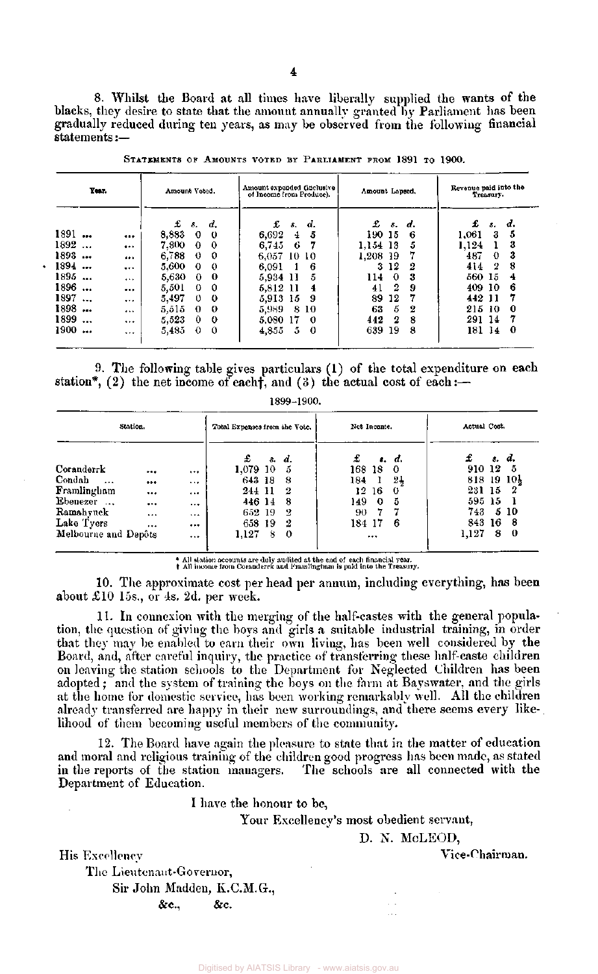8. Whilst the Board at all times have liberally supplied the wants of the blacks, they desire to state that the amount annually granted by Parliament has been gradually reduced during ten years, as may be observed from the following financial statements :—

| Year.    |          | Amount Voted. |              |    |          | Amount expended (inclusive)<br>of Income from Produce). |          |          | Amount Lapsed, |    |        | Revenue paid into the<br>Treasury. |    |  |  |
|----------|----------|---------------|--------------|----|----------|---------------------------------------------------------|----------|----------|----------------|----|--------|------------------------------------|----|--|--|
|          |          | £             | δ.           | d. | £        | 8.                                                      | d.       | £        | Б.             | d. | £      | з.                                 | d. |  |  |
| 1891     | $\cdots$ | 8,883         | 0            | 0  | 6,692    | 4                                                       | 5        | 190 15   |                | 6  | 1,061  | З                                  | 5  |  |  |
| 1892     | $$       | 7.800         | $\bf{0}$     | -0 | 6,745    | -6                                                      |          | 1.154 13 |                | 5  | 1.124  |                                    | 3  |  |  |
| 1893     |          | 6,788         | $\Omega$     | 0  | 6,057    |                                                         | -10-10   | 1,208 19 |                |    | 487    | $\theta$                           | 3  |  |  |
| 1894     |          | 5,600         | $\Omega$     | -0 | 6,091    |                                                         | 6        | 3        | 12             | 2  | 414    | 2                                  | 8  |  |  |
| 1895     |          | 5,630         | 0            | 0  | 5,934 11 |                                                         | 5        | 114      | 0              | 3  | 560 15 |                                    | 4  |  |  |
| 1896     |          | 5.501         | $^{\circ}$   | 0  | 5.812 11 |                                                         | 4        | 41       | 2              | -9 | 409 10 |                                    | 6  |  |  |
| 1897     | $\cdots$ | 5,497         | $\mathbf{0}$ | 0  | 5.913 15 |                                                         | -9       | 89       | 12             |    | 442 11 |                                    | 7  |  |  |
| 1898     |          | 5.515         | 0            | 0  | 5,989    | 8                                                       | 10       | 63       | 5              | 2  | 215    | 10                                 | 0  |  |  |
| 1899     |          | 5.523         | 0            | 0  | 5.080 17 |                                                         | -0       | 442      | 2              | 8  | 291 14 |                                    |    |  |  |
| 1900<br> |          | 5.485         | $\Omega$     | 0  | 4,855    | 5                                                       | $\Omega$ | 639      | 19             | 8  | 181 14 |                                    | 0  |  |  |

STATEMENTS OF AMOUNTS VOTED BY PARLIAMENT FROM 1891 TO 1900.

9. The following table gives particulars (1) of the total expenditure on each station\*, (2) the net income of each $\dagger$ , and (3) the actual cost of each:-

1899-1900.

| Station.             |          |          | Total Expenses from the Vote. |   |        | Net Income. |    |                | Actual Cost.             |   |       |  |
|----------------------|----------|----------|-------------------------------|---|--------|-------------|----|----------------|--------------------------|---|-------|--|
|                      |          |          | £                             |   | s. d.  | £           |    | s. d.          | £                        |   | s. d. |  |
| Coranderrk           |          | $\cdots$ | 1,079 10                      |   | 5      | 168         | 18 | -0             | 910 12                   |   | -5    |  |
| Condah<br>$\cdots$   |          | $\cdots$ | 643 18                        |   | 8      | 184         | 1  | $2\frac{1}{2}$ | $818$ 19 $10\frac{1}{2}$ |   |       |  |
| Framlingham          |          |          | 244 11                        |   | -2     | 12          | 16 | -0             | 231 15                   |   | -2    |  |
| Ebenezer             |          | $- - -$  | 446 14                        |   | -8     | 149.        | -0 | 5              | 595 15                   |   |       |  |
| Ramahyuck            | $\cdots$ |          | 652 19                        |   | 2      | 90          |    |                | 743.                     |   | 5 10  |  |
| Lake Tyers           |          |          | 658 19                        |   | 2      | 184 17      |    | 6              | 843 16                   |   | -8    |  |
| Melbourne and Depôts |          |          | 1,127                         | 8 | $_{0}$ |             |    |                | 1,127                    | 8 | 0     |  |

\* All station accounts are duly audited at the end of each financial year. All income from Coranderrk and Framlingham is paid into the Treasury.

10. The approximate cost per head per annum, including everything, has been about £10 15s., or 4s. 2d. per week.

11. In connexion with the merging of the half-castes with the general population, the question of giving the boys and girls a suitable industrial training, in order that they may be enabled to earn their own living, has been well considered by the Board, and, after careful inquiry, the practice of transferring these half-caste children on leaving the station schools to the Department for Neglected Children has been adopted ; and the system of training the boys on the farm at Bayswater, and the girls at the home for domestic service, has been working remarkably well. All the children already transferred are happy in their new surroundings, and there seems every likelihood of them becoming useful members of the community.

12. The Board have again the pleasure to state that in the matter of education and moral and religious training of the children good progress has been made, as stated in the reports of the station managers. The schools are all connected with the Department of Education.

I have the honour to be,

Your Excellency's most obedient servant,

D. N. McLEOD,

His Excellency Vice-Chairman.

The Lieutenant-Governor, Sir John Madden, K.C.M.G.,  $\&c., \qquad &c.$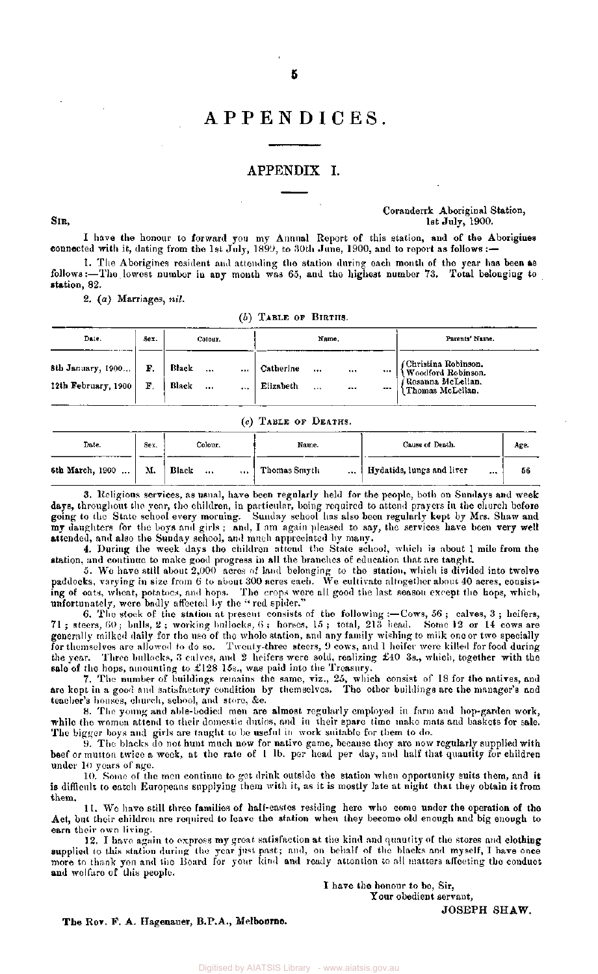# APPENDICES .

#### APPENDIX I.

#### Coranderrk Aboriginal Station,  $\text{Sir},$  1900.

I have the honour to forward you my Annual Report of this station, and of the Aborigines connected with it, dating from the 1st July, 1899, to 30th June, 1900, and to report as follows :-1. The Aborigines resident and attending the station during each month of the year has been as

follows:—The, lowest number in any month was 65, and the highest number 73. Total belonging to station, 82.

2, (a) Marriages, *nil.* 

#### *(b)* TABLE OF BIRTHS.

| Date.                                    | Sex.     | Colour.            |              | Name.                  |              |      | Parents' Name. |                                                                                      |
|------------------------------------------|----------|--------------------|--------------|------------------------|--------------|------|----------------|--------------------------------------------------------------------------------------|
| 8th January, 1900<br>12th February, 1900 | F.<br>F. | Black<br>Black<br> | <br>$\cdots$ | Catherine<br>Elizabeth | <br>$\cdots$ | <br> | <br>$\cdots$   | (Christina Robinson.)<br>Woodford Robinson.<br>Rosanna McLellan.<br>Thomas McLellan. |

#### (c) TABLE OF DEATHS.

| Date.           | Sex. | Colour.                       | Name.                    | Cause of Death.                       | Age. |
|-----------------|------|-------------------------------|--------------------------|---------------------------------------|------|
| 6th March, 1900 | М.   | Black<br>$\cdots$<br>$\cdots$ | Thomas Smyth<br>$\cdots$ | Hydatids, lungs and liver<br>$\cdots$ | -56  |

3. Religious services, as usual, have been regularly held for the people, both on Sundays and week days, throughout the year, the children, in particular, being required to attend prayers in the church before going to the State school every morning. Sunday school has also been regularly kept by Mrs. Shaw and my daughters for the boys and girls ; and, I am again pleased to say, the services have been very well attended, and also the Sunday school, and much appreciated by many.

4. During the week days the children attend the State school, which is about 1 mile from the station, and continue to make good progress in all the branches of education that are taught.

5. We have still about 2,000 acres of land belonging to the station, which is divided into twelve paddocks, varying in size from 6 to about 300 acres each. We cultivate altogether about 40 acres, consisting of oats, wheat, potatoes, and hops. The crops were all good the last season except the hops, which, unfortunately, were badly affected by the " red spider."

6. The stock of the station at present-consists of the following :—Cows, 56 ; calves, 3 ; heifers, 71 ; steers, 60 ; bulls, 2 ; working bullocks, 6 ; horses, 15 ; total, 213 head. Some 12 or 14 cows are generally milked daily for the use of the whole station, and any family wishing to milk one or two specially for themselves are allowed to do so. Twenty-three steers, 9 cows, and 1 heifer were killed for food during the year. Three bullocks, 3 calves, and 2 heifers were sold, realizing £40 3s., which, together with the sale of the hops, amounting to £128 15s., was paid into the Treasury.

7. The number of buildings remains the same, viz., 25, which consist of 18 for the natives, and are kept in a good and satisfactory condition by themselves. The other buildings are the manager's and teacher's houses, church, school, and store, &c.

8. The young and able-bodied men are almost regularly employed in farm and hop-garden work, while the women attend to their domestic duties, and in their spare time make mats and baskets for sale. The bigger boys and girls are taught to bo useful in work suitable for them to do.

9. The blacks do not hunt much now for native game, because they are now regularly supplied with beef or mutton twice a week, at the rate of 1 lb. per head per day, and half that quantity for children under 10 years of age.

10. Some of the men continue to get drink outside the station when opportunity suits them, and it is difficult to catch Europeans supplying them with it, as it is mostly late at night that they obtain it from them.

11. We have still three families of half-castes residing here who come under the operation of the Act, but their children are required to leave the station when they become old enough and big enough to earn their own living.

12. 1 have again to express my great satisfaction at the kind and quantity of the stores and clothing supplied to this station during the year just past; and, on behalf of the blacks and myself, I have once more to thank you and the Board for your kind and ready attention to all matters affecting the conduct and welfare of this people.

> I have the honour to be, Sir, Your obedient servant, JOSEPH SHAW.

The Rov. F. A. Hagenauer, B.P.A., Melbourne.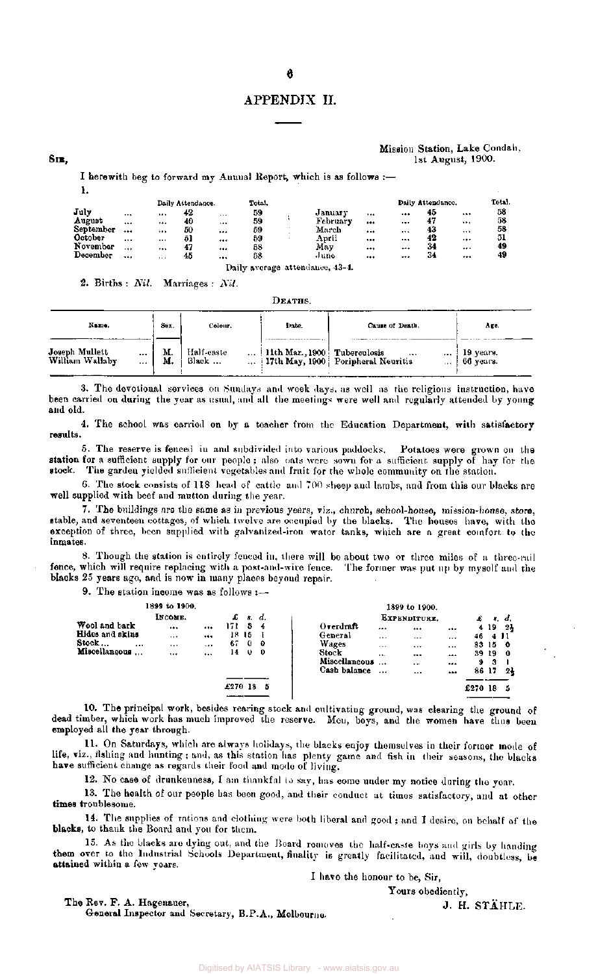#### APPENDIX II.

#### Mission Station, Lake Condah, **SIB**, 1900.

I herewith beg to forward my Annual Report, which is as follows  $:=$ 

|           |          |                      | Daily Attendance. |          | Total, |          |              | Daily Attendance. |          | Total. |
|-----------|----------|----------------------|-------------------|----------|--------|----------|--------------|-------------------|----------|--------|
| July      | $\cdots$ |                      | 42                | $\cdots$ | 59     | January  | <br>         | 45                | $\cdots$ | 58     |
| August    |          | $\cdots$             | 40                | $\cdots$ | 59     | February | <br>$\cdots$ | 47                |          | 58     |
| September |          |                      | 50                |          | 59     | March    | <br>$\cdots$ | 43                |          | 58     |
| October   | $\cdots$ | $\cdots$             | 51                |          | 59     | April    | <br>$\cdots$ | 42                |          | 51     |
| November  | $-$      |                      | 47                |          | 58     | May      | <br>         | -34               | $***$    | 49     |
| December  | $\cdots$ | $\ddot{\phantom{0}}$ | 45                |          | 58     | June     | <br>         | 34                |          | 49     |

2. Births *Nil.* Marriages : *Nil.* 

DEATHS.

| Name.                                             | Sex.     | Colour.             | Date.                                     | Cause of Death.                                                 | Age.                   |
|---------------------------------------------------|----------|---------------------|-------------------------------------------|-----------------------------------------------------------------|------------------------|
| Joseph Mullett<br>William Wallaby<br><br>$\cdots$ | М.<br>М. | Half-caste<br>Black | $\ldots$   11th Mar., 1900   Tuberculosis | <br><br>$\ldots$ 17th May, 1900 Poripheral Neuritis<br>$\cdots$ | 19 years.<br>66 years. |

3. The devotional services on Sundays and week days, as well as the religious instruction, have been carried on during the year as usual, and all the meetings were well and regularly attended by young and old.

4. The school was carried on by a teacher from the Education Department, with satisfactory results.

5. The reserve is fenced in and subdivided into various paddocks. Potatoes were grown on the station for a sufficient supply for our people ; also oats were sown for a sufficient supply of hay for the stock. The garden yielded sufficient vegetables and fruit for the whole community on the station.

6. The stock consists of 118 head of cattle and 700 sheep and lambs, and from this our blacks are well supplied with beef and mutton during the year.

7. The buildings are the same as in previous years, viz., church, school-house, mission-house, store, stable, and seventeen cottages, of which twelve are occupied by the blacks. The houses have, with the exception of three, been supplied with galvanized-iron wate r tanks, which are a great comfort to the inmates.

8. Though the station is entirely fenced in, there will be about two or three miles of a three-rail fence, which will require replacing with a post-and-wire fence. The former was put up by myself and the blacks 25 years ago, and is now in many places beyond repair.

9. The station income was as follows  $:$ -

|                           | 1899 to 1900. |          |         |     |              |               |          | 1899 to 1900. |          |                |     |     |
|---------------------------|---------------|----------|---------|-----|--------------|---------------|----------|---------------|----------|----------------|-----|-----|
|                           | INCOME.       |          | £       | \$. | d.           |               |          | EXPENDITURE.  |          |                | л.  | d.  |
| Wool and bark             | $\cdots$      |          | 171     | з   | -4           | Overdraft     |          |               |          | $\overline{4}$ | 19  | -24 |
| Hides and skins           | $\cdots$      |          | 18.     | 15  |              | General       | $***$    | $\cdots$      |          | 46             | 411 |     |
| Stock<br>$\cdots$         |               |          | 67      | 0   | - 0          | Wages         | $\cdots$ | $\cdots$      | $\cdots$ | 83             | 15  | -0  |
| Miscellaneous<br>$\cdots$ | $1 + 7$       | $\cdots$ | 14      | 0   | $\mathbf{0}$ | Stock         | $\cdots$ |               | $$       | 39             | 19  | - 0 |
|                           |               |          |         |     |              | Miscellaneous | $\cdots$ | $\cdots$      |          | 9              | 3   |     |
|                           |               |          |         |     |              | Cash balance  |          |               |          | 86             | 17  | -24 |
|                           |               |          |         |     |              |               |          |               |          |                |     |     |
|                           |               |          | £270 18 |     | 5            |               |          |               |          | £270           | -18 | -5  |
|                           |               |          |         |     |              |               |          |               |          |                |     |     |

10. The principal work, besides rearing stock and cultivating ground, was clearing the ground of dead timber, which work has much improved the reserve. Men, boys, and the women have thus been employed all the year through.

11. On Saturdays, which are always holidays, the blacks enjoy themselves in their former mode of life, viz., fishing and hunting ; and, as this station has plenty game and fish in their seasons, the blacks have sufficient change as regards their food and mode of living.

12. No case of drunkenness, I am thankful to say, has come under my notice during the year.

13. The health of our people has been good, and their conduct at times satisfactory, and at other times troublesome.

14. The supplies of rations and clothing were both liberal and good; and I desire, on behalf of the blacks, to thank the Board and you for them.

15. As the blacks arc dying out, and the Board removes the half-caste boys and girls by handing them over to the Industrial Schools Department, finality is greatly facilitated, and will, doubtless, be attained within a few years.

I have the honour to be, Sir, Yours obediently,

The Rev. F.  $\Lambda$ . Hagenauer, J. H. STAHLE. General Inspector and Secretary, B.P.A., Melbourne.

1.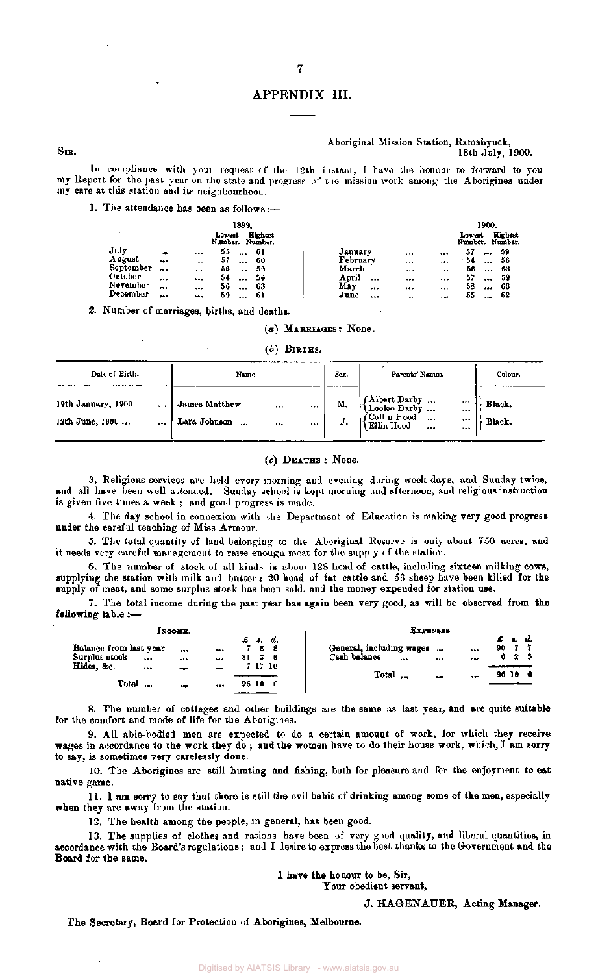## APPENDIX III.

7

#### Aboriginal Mission Station, Ramahyuck, 18th July, 1900.

In compliance with your request of the 12th instant, I have the honour to forward to you my Report for the past year on the state and progress of the mission work among the Aborigines under my care at this station and its neighbourhood.

#### 1. The attendance has been as follows:—

|           |             |          | 1899.                     |                |                   |                      |          |        | 1900. |                            |
|-----------|-------------|----------|---------------------------|----------------|-------------------|----------------------|----------|--------|-------|----------------------------|
|           |             |          | Lowest<br>Number. Number. | <b>Highest</b> |                   |                      |          | Lowent |       | Highest<br>Number. Number. |
| July      | <b>PORT</b> | $\cdots$ | 55<br>$\cdots$            | -61            | January           | $-11$                | 111      | 57     |       | -59                        |
| August    |             |          | 57<br>                    | -60            | February          |                      |          | 54     |       | -56                        |
| September | $- -$       | 1.11     | 56<br>                    | 59             | March<br>$\cdots$ |                      | $\cdots$ | 56     | 111   | -63                        |
| October   | $\cdots$    |          | 54<br>                    | -56            | April             | <br>                 |          | 57     |       | 59                         |
| November  | $\cdots$    |          | 56<br>                    | 63             | May               | <br>                 |          | 58     |       | 63                         |
| December  | $\cdots$    |          | 59<br>$\cdots$            | 61             | June<br>          | $\ddot{\phantom{1}}$ | - 10     | 55     | 1.40  | -62                        |

2, Number of marriages, births, and deaths.

### *(a)* MARRIAGES: None.

*(b)* BIRTHS.

| Date of Birth.                                | Name.                                                                | Sex.     | Parents' Names.                                                                                                   | Colour.          |
|-----------------------------------------------|----------------------------------------------------------------------|----------|-------------------------------------------------------------------------------------------------------------------|------------------|
| 19th January, 1900<br><br>12th June, 1900<br> | James Matthew<br>$1 + 1$<br>$\cdots$<br>Lara Johnson<br>$\cdots$<br> | М.<br>F. | (Albert Darby<br>(Looloo Darby<br><br><br>$\int_{\text{Ellin Hood}}^{\text{Collin Hood}}$<br>$\cdots$<br><br><br> | Black.<br>Black. |

#### (c) DEATHS : None.

3. Religious services are held every morning and evening during week days, and Sunday twice, and all have been well attended. Sunday school is kept morning and afternoon, and religious instruction is given five times a week ; and good progress is made.

4. The day school in connexion with the Department of Education is making very good progress under the careful teaching of Miss Armour.

5. The total quantity of land belonging to the Aboriginal Reserve is only about 750 acres, and it needs very careful management to raise enough moat for the supply of the station.

6. The number of stock of all kinds is about 128 head of cattle, including sixteen milking cows, supplying the station with milk and butter ; 20 head of fat cattle and 53 sheep have been killed for the supply of meat, and some surplus stock has been sold, and the money expended for station use.

7. The total income during the past year has again been very good, as will be observed from the following table :—

| Інсоми.                                                      |                                                              | EXPENSES.                                                                  |                              |
|--------------------------------------------------------------|--------------------------------------------------------------|----------------------------------------------------------------------------|------------------------------|
| Balance from last year<br><br>Surplus stock<br>$\ddotsc$<br> | $\pounds$ $\pounds$ $d$ .<br><b>788</b><br><br>-36<br>81<br> | General, including wages<br>1944<br><br>Cash balance<br><br>$+ +$<br>$***$ | £ 1. d.<br>-77<br>90.<br>625 |
| Hides, &c.<br><br>$\bullet$<br>Total<br>5,000                | 7 17 10<br>$\bullet$ me<br>-10<br>96<br>-0<br>$\cdots$       | Total ._<br><br>مصه                                                        | 96 10 0                      |

8. The number of cottages and other buildings are the same as last year, and are quite suitable for the comfort and mode of life for the Aborigines.

9. All able-bodied men are expected to do a certain amount of work, for which they receive wages in accordance to the work they do; and the women have to do their house work, which, I am sorry to say, is sometimes very carelessly done.

10. The Aborigines are still hunting and fishing, both for pleasure and for the enjoyment to eat native game.

11. I am sorry to say that there is still the evil habit of drinking among some of the men, especially when they are away from the station.

12. The health among the people, in general, has been good.

13. The supplies of clothes and rations have been of very good quality, and liberal quantities, in accordance with the Board's regulations; and I desire to express the best thanks to the Government and the Board for the same.

I have the honour to be, Sir,

Your obedient servant,

J. HAGENAUER, Acting Manager.

The Secretary, Board for Protection of Aborigines, Melbourne.

SIB,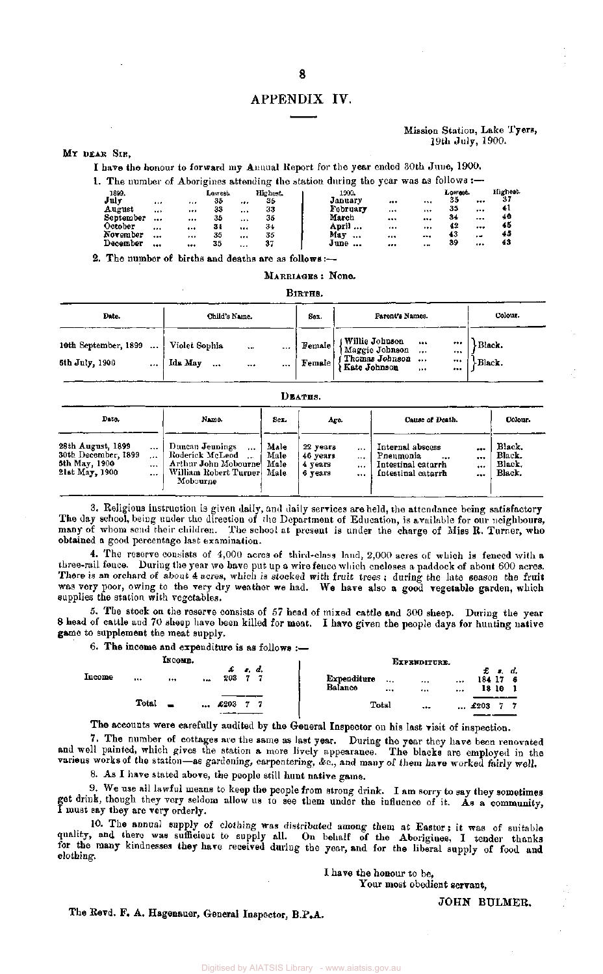# APPENDIX IV.

#### Mission Station, Lake Tyers, 19th July, 1900.

#### MY DEAR SIR.

I have the honour to forward my Annual Report for the year ended 30th June, 1900.

|           |          |    |         |          |          | 1. The number of Aborigines attending the station during the year was as follows :— |          |       |         |          |          |
|-----------|----------|----|---------|----------|----------|-------------------------------------------------------------------------------------|----------|-------|---------|----------|----------|
| 1899.     |          |    | Lowest. |          | Highest. | 1900.                                                                               |          |       | Lowest. |          | Highest. |
| July      | 110      |    | 35      |          | 35       | January                                                                             |          |       | 35      |          | 31       |
| August    | $\cdots$ |    | 33      |          | 33       | February                                                                            | $\cdots$ |       | 35      |          | 41       |
| September |          | $$ | 35      |          | 35       | March                                                                               |          |       | -34     | $\cdots$ | 40       |
| October   |          |    | 34      |          | 34       | April                                                                               |          |       | 42      |          | 46       |
| November  |          |    | 35      |          | 35       | May<br>$\cdots$                                                                     |          |       | 43      | $\cdot$  | 45       |
| December  |          |    | 35      | $\cdots$ | 37       | June                                                                                |          | $+ +$ | 89      |          | 43       |
|           |          |    |         |          |          |                                                                                     |          |       |         |          |          |

2. The number of births and deaths are as follows :-

MARRIAGES : None.

| Birthe. |  |
|---------|--|
|---------|--|

| Date.                                                           | Child's Name.                                                |             | Sex.             | Parent's Names.                                                                                                   | Colour.                          |
|-----------------------------------------------------------------|--------------------------------------------------------------|-------------|------------------|-------------------------------------------------------------------------------------------------------------------|----------------------------------|
| 10th September, 1899<br>$\cdots$<br>6th July, 1900<br>$\ddotsc$ | Violet Sophia<br>$\ddot{\bullet}$<br>Ida May<br>$\cdots$<br> | $- - +$<br> | Female<br>Female | ( Willie Johnson<br>{ Maggie Johnson<br>$-0.04$<br>$\cdots$<br>f Thomas Johnson<br>} Kate Johnson<br>$\cdots$<br> | <br><br><br><br>Black.<br>Black. |

|--|

| Date.                                                                          |                  | Name.                                                                                                                         | Sex.                 | Age.                                       |              | Cause of Death.                                                               | Colour.      |                                      |  |
|--------------------------------------------------------------------------------|------------------|-------------------------------------------------------------------------------------------------------------------------------|----------------------|--------------------------------------------|--------------|-------------------------------------------------------------------------------|--------------|--------------------------------------|--|
| 28th August, 1899<br>30th December, 1899<br>5th May, 1900<br>$2$ lst May, 1900 | <br>1.14<br><br> | Duncan Jeunings<br>$1.1 +$<br>Roderick McLeod<br>$\ddotsc$<br>Arthur John Mobournel<br>William Robert Turner Male<br>Mobourne | Male<br>Male<br>Male | 22 years<br>46 years<br>4 years<br>6 vears | <br><br><br> | Internal abscess<br>Pneumonia<br><br>Intestinal catarrh<br>Intestinal catarrh | <br><br><br> | Black.<br>Black.<br>Black.<br>Black. |  |

3. Religious instruction is given daily, and daily services are held, the attendance being satisfactory The day school, being under the direction of the Department of Education, is available for our neighbours, many of whom send their children. The school at present is under the charge of Miss R. Turner, who obtained a good percentage last examination.

4. The reserve consists of 4,000 acres of third-class land, 2,000 acres of which is fenced with a three-rail fence. During the year we have put up a wire fence which encloses a paddock of about 600 acres. There is an orchard of about 4 acres, which is stocked with fruit trees ; during the late season the fruit was very poor, owing to the very dry weather we had. We have also a good vegetable garden, which supplies the station with vegetables.

5. The stock on the reserve consists of 57 head of mixed cattle and 300 sheep. During the year 8 head of cattle and 70 sheep have been killed for meat, I have given the people days for hunting native game to supplement the meat supply.

6. The income and expenditure is as follows  $:=$ 

|        |       | INCOMB. |          |             |              |  |                        |       | EXPRNDITURE.  |        |            |                   |     |
|--------|-------|---------|----------|-------------|--------------|--|------------------------|-------|---------------|--------|------------|-------------------|-----|
| Income |       |         | $\cdots$ | 203         | <i>r. d.</i> |  | Expenditure<br>Balance | <br>  | <br>$\ddotsc$ | $$<br> | 184 17     | $E$ s.d.<br>18 10 | - 6 |
|        | Total |         |          | £203<br>--- |              |  |                        | Total |               |        | $ \; 4203$ |                   |     |

The accounts were carefully audited by the General Inspector on his last visit of inspection.

7. The number of cottages are the same as last year. During the year they have been renovated and well painted, which gives the station a more lively appearance. The blacks are employed in the various works of the station—as gardening, carpentering, &c., and many of them have worked fairly well.

8. As I have stated above, the people still hunt native game.

9. We use all lawful means to keep the people from strong drink. I am sorry to say they sometimes get drink, though they very seldom allow us to see them under the influence of it. As a community, I must say they are very orderly.

10. The annual supply of clothing was distributed among them at Easter ; it was of suitable quality, and there was sufficient to supply all. On behalf of the Aborigines, I tender thanks for the many kindnesses they have received during the year, and for the liberal supply of food and clothing.

I have the honour to be,

Your most obedient servant,

JOHN BULMER.

The Revd. F. A. Hagenauer, General Inspector, B.P.A.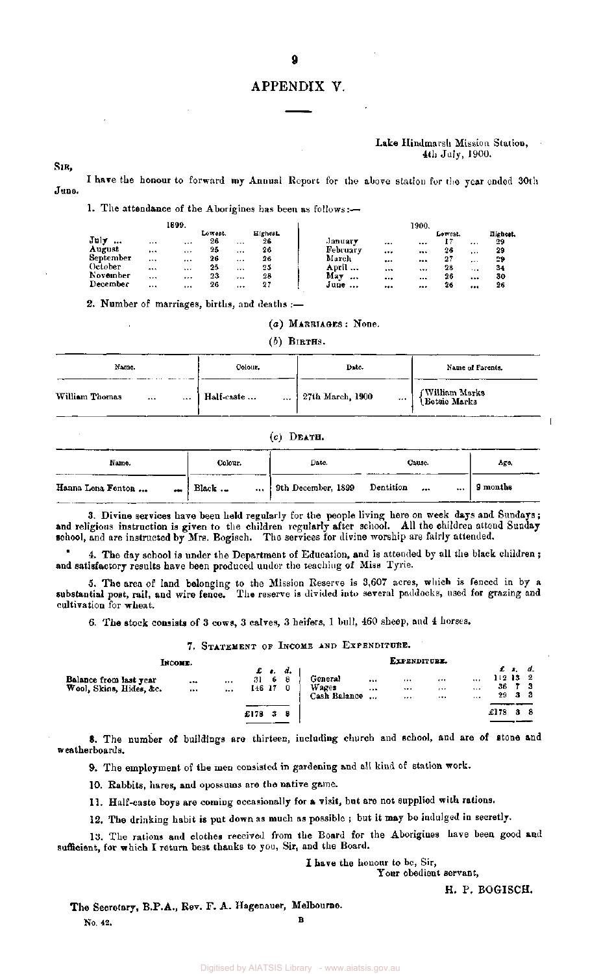#### APPENDIX V.

#### Lake Hindmarsh Mission Station, 4th July, 1900.

SIR,

June. I have the honour to forward my Annual Report for the above station for the year ended 30th

1. The attendance of the Aborigines has been as follows:—

|             | 1899.        |               |          |                      | 1900.                                        |                |
|-------------|--------------|---------------|----------|----------------------|----------------------------------------------|----------------|
| $J$ uly<br> | <br>$\cdots$ | Lowest.<br>26 | $\cdots$ | <b>Highest</b><br>26 | Lowest.<br>January<br><br><br>               | Highest.<br>29 |
| August      | <br>         | 25            |          | 26                   | February<br>26<br><br><br>1.11               | 29             |
| September   | <br>         | 26            | $\cdots$ | 26                   | March<br>27<br>$\cdots$<br>5.6.5<br>$\cdots$ | 29             |
| October     | <br>         | 25            |          | 25                   | April<br>28<br>$\cdots$<br>$\cdots$<br>1.1.1 | 34             |
| November    | <br>$\cdots$ | 23            | $\cdots$ | 28                   | May<br>26<br><br><br><br>                    | 30             |
| December    | <br>         | 26            |          | 27                   | June<br>26<br><br><br>                       | 26             |

2. Number of marriages, births, and deaths :—

(a) MARRIAGES : None.

*(b)* BIRTHS.

| Name.                  | Colour.        | Date.                | Name of Parents.                  |
|------------------------|----------------|----------------------|-----------------------------------|
| William Thomas<br><br> | Half-caste<br> | 27th March, 1900<br> | f William Marks<br>  Betsie Marks |

#### *(c)* DEATH.

| Name.                 | Colour.            | Date.              | Cause.            | Age,     |
|-----------------------|--------------------|--------------------|-------------------|----------|
| Hanna Lena Fenton<br> | Black $\ldots$<br> | 9th December, 1899 | Dentition<br><br> | 9 months |

3. Divine services have been held regularly for the people living here on week days and Sundays; and religious instruction is given to the children regularly after school. All the children attend Sunday school, and are instructed by Mrs. Bogisch. The services for divine worship are fairly attended.

4. The day school is under the Department of Education, and is attended by all the black children ; and satisfactory results have been produced under the teaching of Miss Tyrie.

5. The area of land belonging to the Mission Reserve is 3,607 acres, which is fenced in by a substantial post, rail, and wire fence. The reserve is divided into several paddocks, used for grazing and cultivation for wheat.

6. The stock consists of 3 cows, 3 calves, 3 heifers, 1 bull, 460 sheep, and 4 horses.

7. STATEMENT OF INCOME AND EXPENDITURE.

#### EXPENDITURE.

| Balance from last year<br>Wool, Skins, Hides, &c. | $\cdots$<br>$\cdots$ | $\cdots$<br> | £ <b>e.</b> d.<br>31<br>146 17 | - 6<br>-8<br>0 |   | Genera!<br>Wages<br>Cash Balance | <br><br>$\cdots$ | $1 + 4$<br>$\cdots$<br> | $-0.4$<br>$-1$<br> | $\cdots$<br><br>$\cdots$ | $112$ 13 $2$<br>36<br>$29$ 3 3 | £ s. d. |  |
|---------------------------------------------------|----------------------|--------------|--------------------------------|----------------|---|----------------------------------|------------------|-------------------------|--------------------|--------------------------|--------------------------------|---------|--|
|                                                   |                      |              | £178                           | 3              | я |                                  |                  |                         |                    |                          | £178 S                         |         |  |

8. The number of buildings are thirteen, including church and school, and are of stone and weatherboards.

9. The employment of the men consisted in gardening and all kind of station work.

10. Rabbits, hares, and opossums are the native game.

INCOME.

11. Half-caste boys are coming occasionally for a visit, but are not supplied with rations.

12. The drinking habit is put down as much as possible ; but it may bo indulged in secretly.

13. The rations and clothes received from the Board for the Aborigines have been good and sufficient, for which I return best thanks to you, Sir, and the Board.

I have the honour to be, Sir,

Your obedient servant,

H. P. BOGISCH.

The Secretary, B.P.A., Rev. F. A. Hagenauer, Melbourne. <u>Based on the second contract of the second contract of the second contract of the second contract of the second</u>

No. 42.